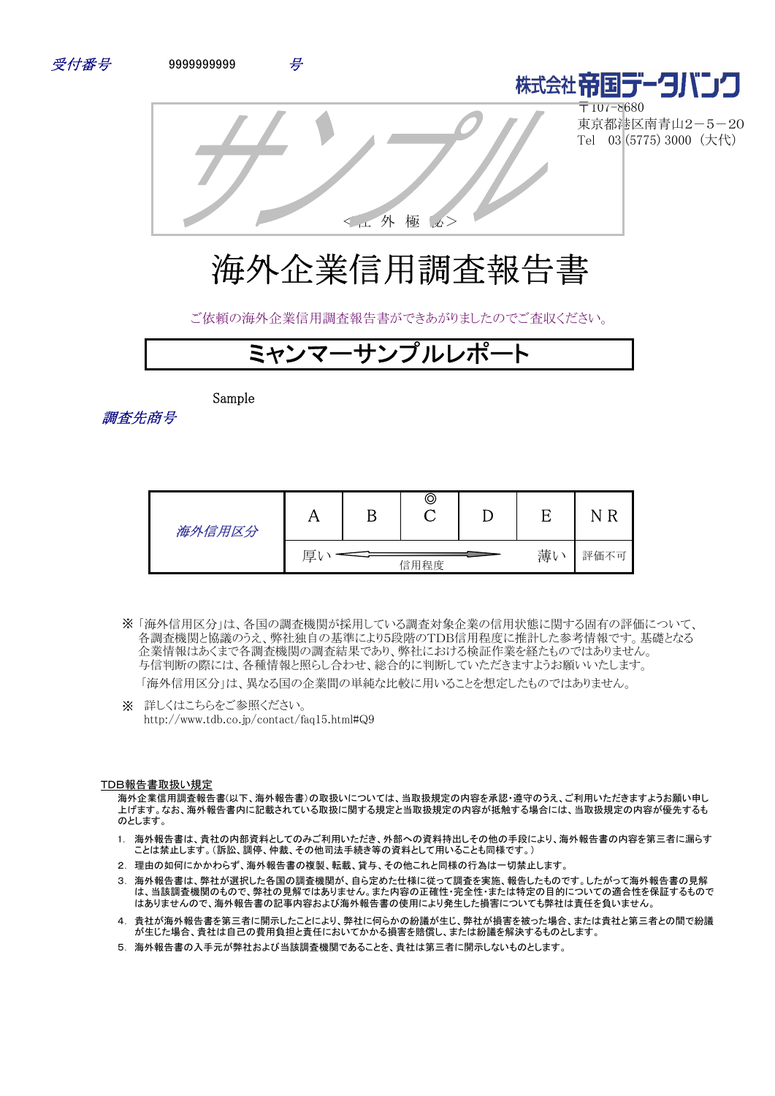



〒107-8680 東京都港区南青山2-5-20 Tel 03 (5775) 3000 (大代)

<社 外 極 秘>

# 海外企業信用調査報告書

ご依頼の海外企業信用調査報告書ができあがりましたのでご査収ください。

## ミャンマーサンプルレポ

Sample

調査先商号

| 海外信用区分 |                 | D | © |      |  | N |
|--------|-----------------|---|---|------|--|---|
|        | 薄い<br>厚<br>信用程度 |   |   | 評価不可 |  |   |

「海外信用区分」は、各国の調査機関が採用している調査対象企業の信用状態に関する固有の評価について、 ※ 各調査機関と協議のうえ、弊社独自の基準により5段階のTDB信用程度に推計した参考情報です。基礎となる 企業情報はあくまで各調査機関の調査結果であり、弊社における検証作業を経たものではありません。 与信判断の際には、各種情報と照らし合わせ、総合的に判断していただきますようお願いいたします。

「海外信用区分」は、異なる国の企業間の単純な比較に用いることを想定したものではありません。

※ 詳しくはこちらをご参照ください。 http://www.tdb.co.jp/contact/faq15.html#Q9

#### TDB報告書取扱い規定

海外企業信用調査報告書(以下、海外報告書)の取扱いについては、当取扱規定の内容を承認・遵守のうえ、ご利用いただきますようお願い申し 上げます。なお、海外報告書内に記載されている取扱に関する規定と当取扱規定の内容が抵触する場合には、当取扱規定の内容が優先するも のとします。

- 1. 海外報告書は、貴社の内部資料としてのみご利用いただき、外部への資料持出しその他の手段により、海外報告書の内容を第三者に漏らす ことは禁止します。(訴訟、調停、仲裁、その他司法手続き等の資料として用いることも同様です。)
- 2. 理由の如何にかかわらず、海外報告書の複製、転載、貸与、その他これと同様の行為は一切禁止します。
- 3. 海外報告書は、弊社が選択した各国の調査機関が、自ら定めた仕様に従って調査を実施、報告したものです。したがって海外報告書の見解 は、当該調査機関のもので、弊社の見解ではありません。また内容の正確性・完全性・または特定の目的についての適合性を保証するもので はありませんので、海外報告書の記事内容および海外報告書の使用により発生した損害についても弊社は責任を負いません。
- 4. 貴社が海外報告書を第三者に開示したことにより、弊社に何らかの紛議が生じ、弊社が損害を被った場合、または貴社と第三者との間で紛議 が生じた場合、貴社は自己の費用負担と責任においてかかる損害を賠償し、または紛議を解決するものとします。
- 5. 海外報告書の入手元が弊社および当該調査機関であることを、貴社は第三者に開示しないものとします。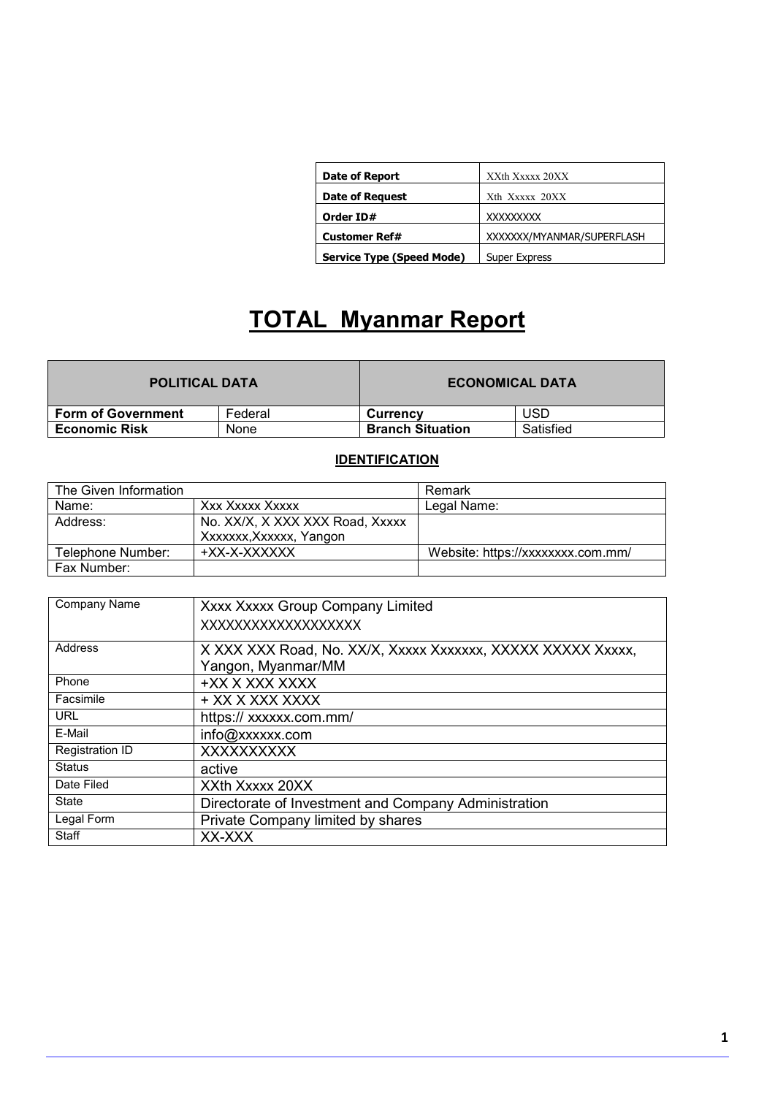| <b>Date of Report</b>     | XXth Xxxxx 20XX           |
|---------------------------|---------------------------|
| <b>Date of Request</b>    | Xth Xxxxx 20XX            |
| Order ID#                 | XXXXXXXX                  |
| <b>Customer Ref#</b>      | XXXXXX/MYANMAR/SUPERFLASH |
| Service Type (Speed Mode) | <b>Super Express</b>      |

## **TOTAL Myanmar Report**

| <b>POLITICAL DATA</b>     |         | <b>ECONOMICAL DATA</b>  |           |
|---------------------------|---------|-------------------------|-----------|
| <b>Form of Government</b> | Federal | Currency                | USD       |
| <b>Economic Risk</b>      | None    | <b>Branch Situation</b> | Satisfied |

#### **IDENTIFICATION**

| The Given Information |                                 | Remark                            |
|-----------------------|---------------------------------|-----------------------------------|
| Name:                 | Xxx Xxxxx Xxxxx                 | Legal Name:                       |
| Address:              | No. XX/X, X XXX XXX Road, Xxxxx |                                   |
|                       | Xxxxxx, Xxxxxx, Yangon          |                                   |
| Telephone Number:     | +XX-X-XXXXXX                    | Website: https://xxxxxxxx.com.mm/ |
| Fax Number:           |                                 |                                   |

| Company Name           | Xxxx Xxxxx Group Company Limited                            |  |
|------------------------|-------------------------------------------------------------|--|
|                        | XXXXXXXXXXXXXXXXXXX                                         |  |
| Address                | X XXX XXX Road, No. XX/X, Xxxxx Xxxxxxx, XXXXX XXXXX Xxxxx, |  |
|                        | Yangon, Myanmar/MM                                          |  |
| Phone                  | +XX X XXX XXXX                                              |  |
| Facsimile              | + XX X XXX XXXX                                             |  |
| <b>URL</b>             | https:// xxxxxx.com.mm/                                     |  |
| E-Mail                 | info@xxxxxx.com                                             |  |
| <b>Registration ID</b> | <b>XXXXXXXXXX</b>                                           |  |
| <b>Status</b>          | active                                                      |  |
| Date Filed             | XXth Xxxxx 20XX                                             |  |
| State                  | Directorate of Investment and Company Administration        |  |
| Legal Form             | Private Company limited by shares                           |  |
| Staff                  | XX-XXX                                                      |  |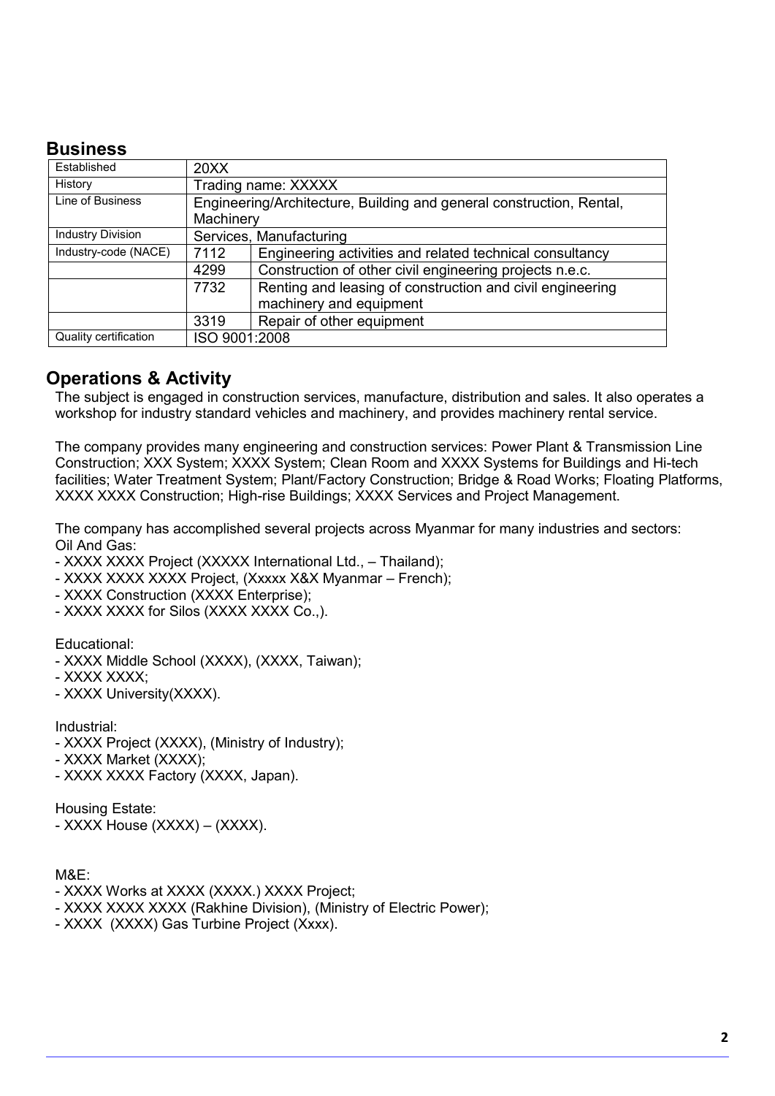### **Business**

| Established              | 20XX                    |                                                                      |  |  |
|--------------------------|-------------------------|----------------------------------------------------------------------|--|--|
| History                  |                         | Trading name: XXXXX                                                  |  |  |
| Line of Business         |                         | Engineering/Architecture, Building and general construction, Rental, |  |  |
|                          | Machinery               |                                                                      |  |  |
| <b>Industry Division</b> | Services, Manufacturing |                                                                      |  |  |
| Industry-code (NACE)     | 7112                    | Engineering activities and related technical consultancy             |  |  |
|                          | 4299                    | Construction of other civil engineering projects n.e.c.              |  |  |
|                          | 7732                    | Renting and leasing of construction and civil engineering            |  |  |
|                          |                         | machinery and equipment                                              |  |  |
|                          | 3319                    | Repair of other equipment                                            |  |  |
| Quality certification    | ISO 9001:2008           |                                                                      |  |  |

### **Operations & Activity**

The subject is engaged in construction services, manufacture, distribution and sales. It also operates a workshop for industry standard vehicles and machinery, and provides machinery rental service.

The company provides many engineering and construction services: Power Plant & Transmission Line Construction; XXX System; XXXX System; Clean Room and XXXX Systems for Buildings and Hi-tech facilities; Water Treatment System; Plant/Factory Construction; Bridge & Road Works; Floating Platforms, XXXX XXXX Construction; High-rise Buildings; XXXX Services and Project Management.

The company has accomplished several projects across Myanmar for many industries and sectors: Oil And Gas:

- XXXX XXXX Project (XXXXX International Ltd., Thailand);
- XXXX XXXX XXXX Project, (Xxxxx X&X Myanmar French);
- XXXX Construction (XXXX Enterprise);
- XXXX XXXX for Silos (XXXX XXXX Co.,).

Educational:

- XXXX Middle School (XXXX), (XXXX, Taiwan);
- XXXX XXXX;
- XXXX University(XXXX).

Industrial:

- XXXX Project (XXXX), (Ministry of Industry);
- XXXX Market (XXXX);
- XXXX XXXX Factory (XXXX, Japan).

Housing Estate:

- XXXX House (XXXX) – (XXXX).

M&E:

- XXXX Works at XXXX (XXXX.) XXXX Project;
- XXXX XXXX XXXX (Rakhine Division), (Ministry of Electric Power);
- XXXX (XXXX) Gas Turbine Project (Xxxx).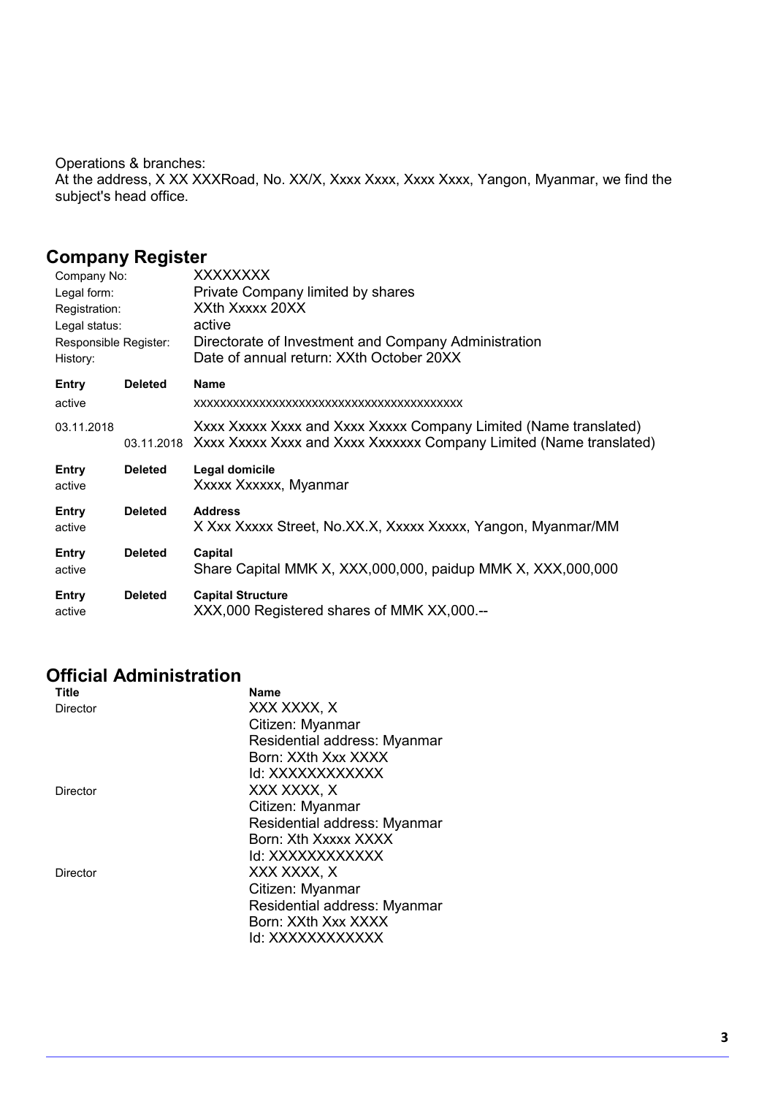Operations & branches: At the address, X XX XXXRoad, No. XX/X, Xxxx Xxxx, Xxxx Xxxx, Yangon, Myanmar, we find the subject's head office.

### **Company Register**

| Company No:                       |                | XXXXXXXX                                                                                         |
|-----------------------------------|----------------|--------------------------------------------------------------------------------------------------|
| Legal form:                       |                | Private Company limited by shares                                                                |
| Registration:                     |                | XXth Xxxxx 20XX                                                                                  |
| Legal status:                     |                | active                                                                                           |
| Responsible Register:<br>History: |                | Directorate of Investment and Company Administration<br>Date of annual return: XXth October 20XX |
| Entry                             | <b>Deleted</b> | <b>Name</b>                                                                                      |
| active                            |                |                                                                                                  |
| 03.11.2018                        |                | Xxxx Xxxxx Xxxx and Xxxx Xxxxx Company Limited (Name translated)                                 |
|                                   |                | 03.11.2018 Xxxx Xxxxx Xxxx and Xxxx Xxxxxxx Company Limited (Name translated)                    |
| Entry                             | <b>Deleted</b> | Legal domicile                                                                                   |
| active                            |                | Xxxxx Xxxxxx, Myanmar                                                                            |
| Entry                             | <b>Deleted</b> | <b>Address</b>                                                                                   |
| active                            |                | X Xxx Xxxxx Street, No.XX.X, Xxxxx Xxxxx, Yangon, Myanmar/MM                                     |
| Entry                             | <b>Deleted</b> | Capital                                                                                          |
| active                            |                | Share Capital MMK X, XXX,000,000, paidup MMK X, XXX,000,000                                      |
| Entry                             | <b>Deleted</b> | <b>Capital Structure</b>                                                                         |
| active                            |                | XXX,000 Registered shares of MMK XX,000.--                                                       |

### **Official Administration**

| <b>Title</b> | Name                         |
|--------------|------------------------------|
| Director     | XXX XXXX, X                  |
|              | Citizen: Myanmar             |
|              | Residential address: Myanmar |
|              | Born: XXth Xxx XXXX          |
|              | ld: XXXXXXXXXXXX             |
| Director     | XXX XXXX. X                  |
|              | Citizen: Myanmar             |
|              | Residential address: Myanmar |
|              | Born: Xth Xxxxx XXXX         |
|              | ld: XXXXXXXXXXXX             |
| Director     | XXX XXXX, X                  |
|              | Citizen: Myanmar             |
|              | Residential address: Myanmar |
|              | Born: XXth Xxx XXXX          |
|              | ld: XXXXXXXXXXXX             |
|              |                              |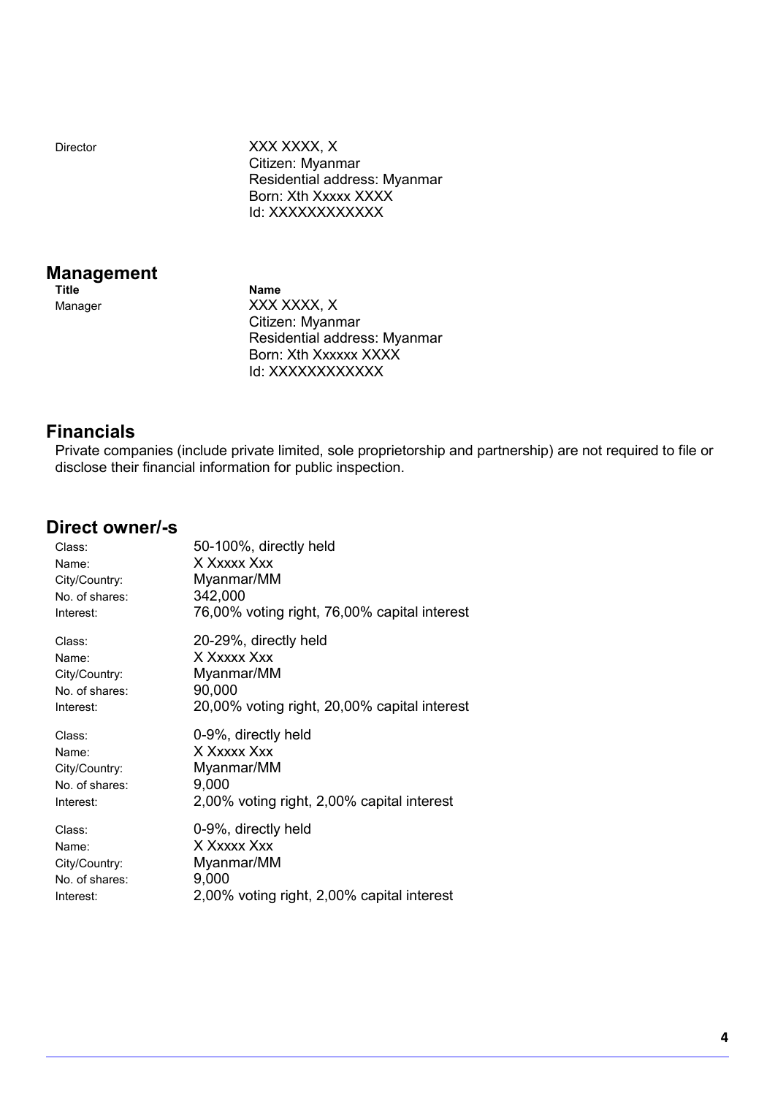Director XXX XXXX, X Citizen: Myanmar Residential address: Myanmar Born: Xth Xxxxx XXXX Id: XXXXXXXXXXX

## **Management**

**Name** Manager XXX XXXX, X Citizen: Myanmar Residential address: Myanmar Born: Xth Xxxxxx XXXX Id: XXXXXXXXXXX

### **Financials**

Private companies (include private limited, sole proprietorship and partnership) are not required to file or disclose their financial information for public inspection.

### **Direct owner/-s**

| Class:         | 50-100%, directly held                       |
|----------------|----------------------------------------------|
| Name:          | X Xxxxx Xxx                                  |
| City/Country:  | Myanmar/MM                                   |
| No. of shares: | 342,000                                      |
| Interest:      | 76,00% voting right, 76,00% capital interest |
| Class:         | 20-29%, directly held                        |
| Name:          | X Xxxxx Xxx                                  |
| City/Country:  | Myanmar/MM                                   |
| No. of shares: | 90,000                                       |
| Interest:      | 20,00% voting right, 20,00% capital interest |
|                |                                              |
| Class:         | 0-9%, directly held                          |
| Name:          | X Xxxxx Xxx                                  |
| City/Country:  | Myanmar/MM                                   |
| No. of shares: | 9,000                                        |
| Interest:      | 2,00% voting right, 2,00% capital interest   |
| Class:         | 0-9%, directly held                          |
| Name:          | X Xxxxx Xxx                                  |
| City/Country:  | Myanmar/MM                                   |
| No. of shares: | 9,000                                        |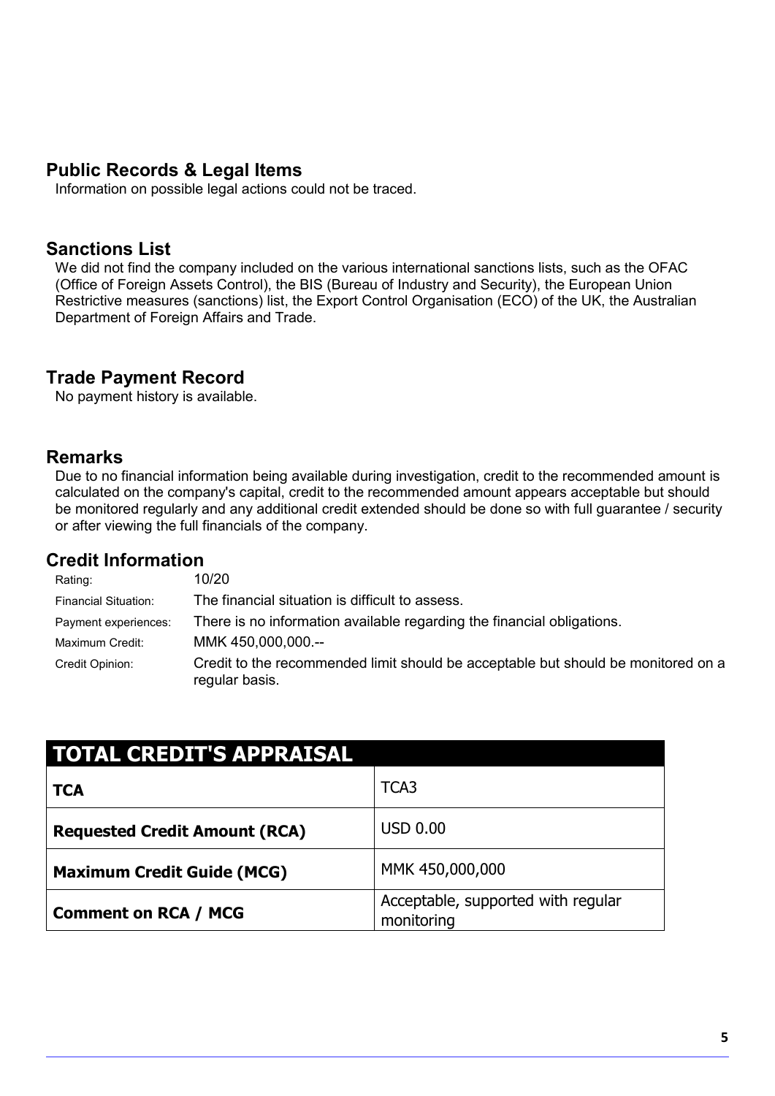### **Public Records & Legal Items**

Information on possible legal actions could not be traced.

### **Sanctions List**

We did not find the company included on the various international sanctions lists, such as the OFAC (Office of Foreign Assets Control), the BIS (Bureau of Industry and Security), the European Union Restrictive measures (sanctions) list, the Export Control Organisation (ECO) of the UK, the Australian Department of Foreign Affairs and Trade.

### **Trade Payment Record**

No payment history is available.

### **Remarks**

Due to no financial information being available during investigation, credit to the recommended amount is calculated on the company's capital, credit to the recommended amount appears acceptable but should be monitored regularly and any additional credit extended should be done so with full guarantee / security or after viewing the full financials of the company.

### **Credit Information**

| Rating:                     | 10/20                                                                                               |
|-----------------------------|-----------------------------------------------------------------------------------------------------|
| <b>Financial Situation:</b> | The financial situation is difficult to assess.                                                     |
| Payment experiences:        | There is no information available regarding the financial obligations.                              |
| Maximum Credit:             | MMK 450,000,000.--                                                                                  |
| Credit Opinion:             | Credit to the recommended limit should be acceptable but should be monitored on a<br>regular basis. |

| <b>TOTAL CREDIT'S APPRAISAL</b>      |                                                  |  |
|--------------------------------------|--------------------------------------------------|--|
| <b>TCA</b>                           | TCA <sub>3</sub>                                 |  |
| <b>Requested Credit Amount (RCA)</b> | USD 0.00                                         |  |
| <b>Maximum Credit Guide (MCG)</b>    | MMK 450,000,000                                  |  |
| <b>Comment on RCA / MCG</b>          | Acceptable, supported with regular<br>monitoring |  |